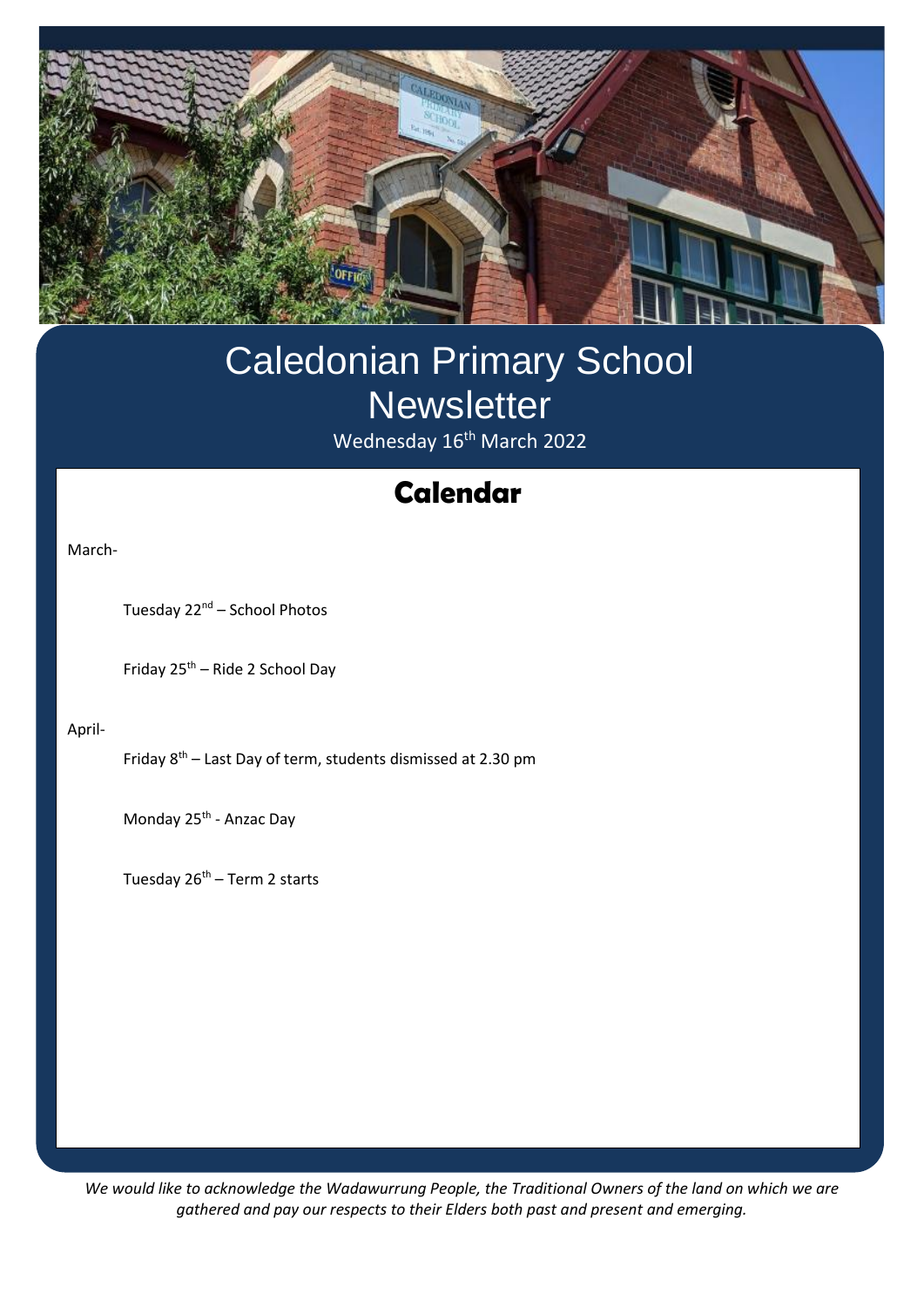

## Caledonian Primary School **Newsletter** Wednesday 16<sup>th</sup> March 2022

# **Swimming Calendar**

March-

Tuesday 22<sup>nd</sup> – School Photos

Friday 25th – Ride 2 School Day

April-

Friday 8th – Last Day of term, students dismissed at 2.30 pm

Monday 25<sup>th</sup> - Anzac Day

Tuesday  $26<sup>th</sup>$  – Term 2 starts

*We would like to acknowledge the Wadawurrung People, the Traditional Owners of the land on which we are gathered and pay our respects to their Elders both past and present and emerging.*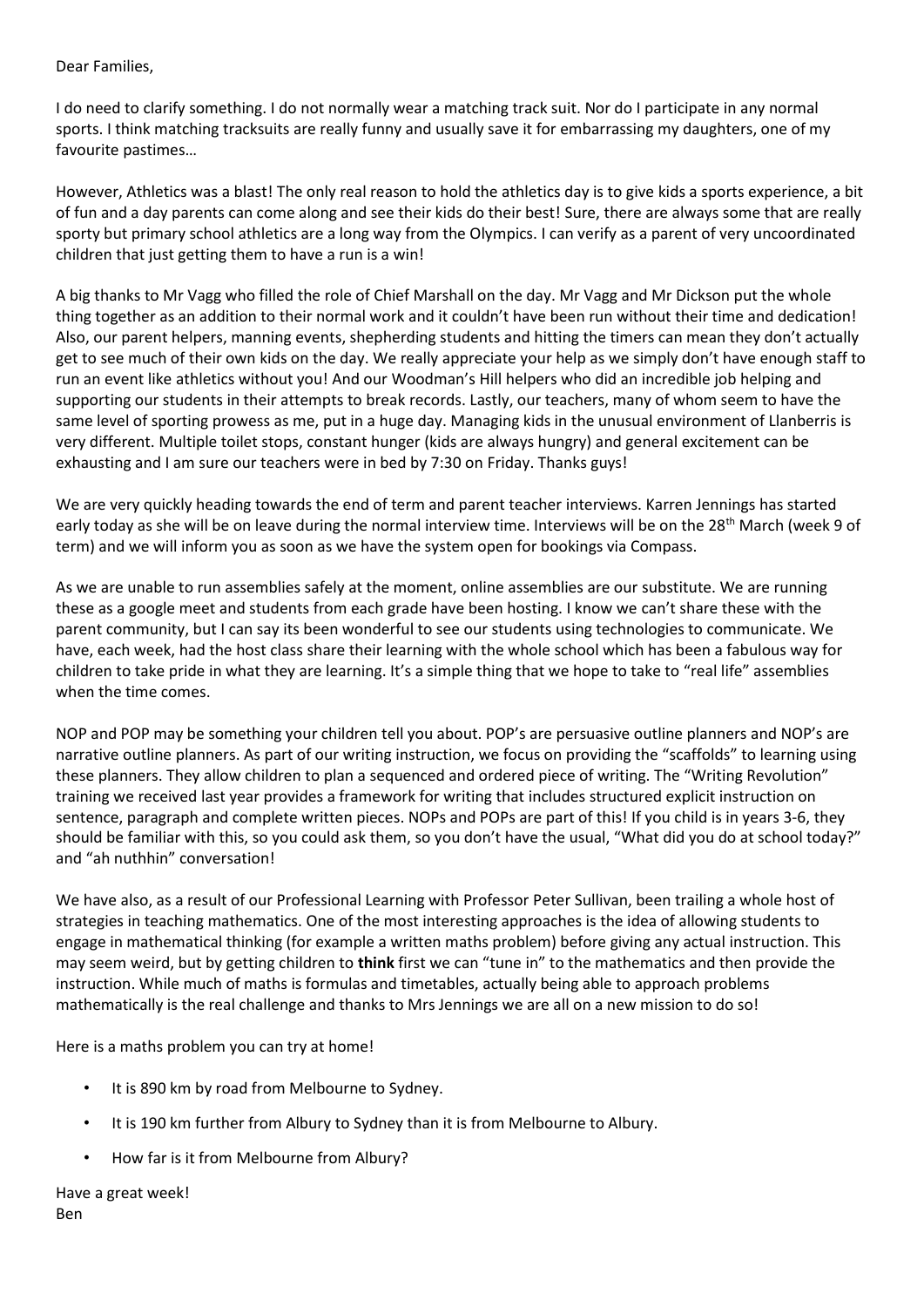#### Dear Families,

I do need to clarify something. I do not normally wear a matching track suit. Nor do I participate in any normal sports. I think matching tracksuits are really funny and usually save it for embarrassing my daughters, one of my favourite pastimes…

However, Athletics was a blast! The only real reason to hold the athletics day is to give kids a sports experience, a bit of fun and a day parents can come along and see their kids do their best! Sure, there are always some that are really sporty but primary school athletics are a long way from the Olympics. I can verify as a parent of very uncoordinated children that just getting them to have a run is a win!

A big thanks to Mr Vagg who filled the role of Chief Marshall on the day. Mr Vagg and Mr Dickson put the whole thing together as an addition to their normal work and it couldn't have been run without their time and dedication! Also, our parent helpers, manning events, shepherding students and hitting the timers can mean they don't actually get to see much of their own kids on the day. We really appreciate your help as we simply don't have enough staff to run an event like athletics without you! And our Woodman's Hill helpers who did an incredible job helping and supporting our students in their attempts to break records. Lastly, our teachers, many of whom seem to have the same level of sporting prowess as me, put in a huge day. Managing kids in the unusual environment of Llanberris is very different. Multiple toilet stops, constant hunger (kids are always hungry) and general excitement can be exhausting and I am sure our teachers were in bed by 7:30 on Friday. Thanks guys!

We are very quickly heading towards the end of term and parent teacher interviews. Karren Jennings has started early today as she will be on leave during the normal interview time. Interviews will be on the 28<sup>th</sup> March (week 9 of term) and we will inform you as soon as we have the system open for bookings via Compass.

As we are unable to run assemblies safely at the moment, online assemblies are our substitute. We are running these as a google meet and students from each grade have been hosting. I know we can't share these with the parent community, but I can say its been wonderful to see our students using technologies to communicate. We have, each week, had the host class share their learning with the whole school which has been a fabulous way for children to take pride in what they are learning. It's a simple thing that we hope to take to "real life" assemblies when the time comes.

NOP and POP may be something your children tell you about. POP's are persuasive outline planners and NOP's are narrative outline planners. As part of our writing instruction, we focus on providing the "scaffolds" to learning using these planners. They allow children to plan a sequenced and ordered piece of writing. The "Writing Revolution" training we received last year provides a framework for writing that includes structured explicit instruction on sentence, paragraph and complete written pieces. NOPs and POPs are part of this! If you child is in years 3-6, they should be familiar with this, so you could ask them, so you don't have the usual, "What did you do at school today?" and "ah nuthhin" conversation!

We have also, as a result of our Professional Learning with Professor Peter Sullivan, been trailing a whole host of strategies in teaching mathematics. One of the most interesting approaches is the idea of allowing students to engage in mathematical thinking (for example a written maths problem) before giving any actual instruction. This may seem weird, but by getting children to **think** first we can "tune in" to the mathematics and then provide the instruction. While much of maths is formulas and timetables, actually being able to approach problems mathematically is the real challenge and thanks to Mrs Jennings we are all on a new mission to do so!

Here is a maths problem you can try at home!

- It is 890 km by road from Melbourne to Sydney.
- It is 190 km further from Albury to Sydney than it is from Melbourne to Albury.
- How far is it from Melbourne from Albury?

Have a great week! Ben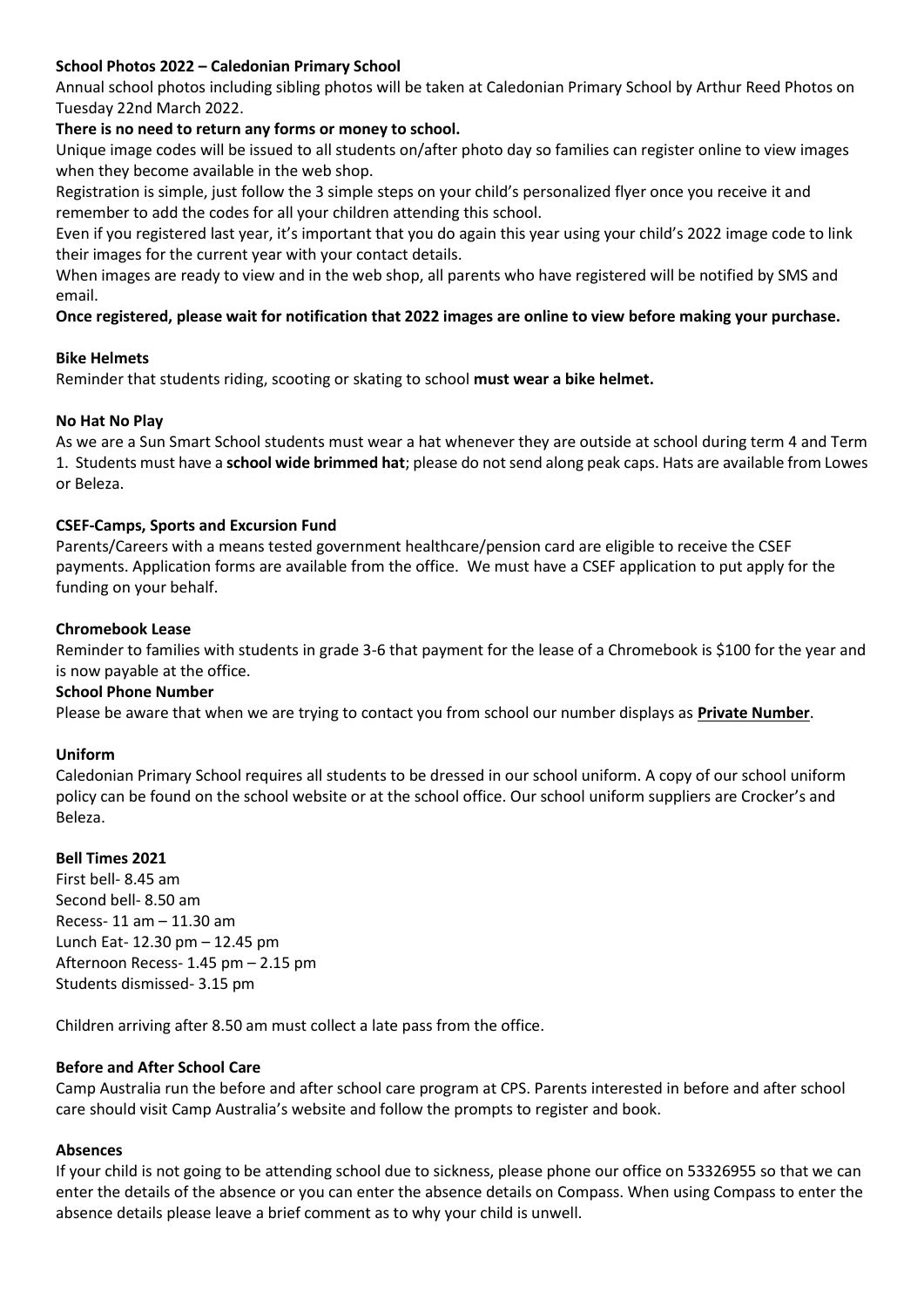#### **School Photos 2022 – Caledonian Primary School**

Annual school photos including sibling photos will be taken at Caledonian Primary School by Arthur Reed Photos on Tuesday 22nd March 2022.

#### **There is no need to return any forms or money to school.**

Unique image codes will be issued to all students on/after photo day so families can register online to view images when they become available in the web shop.

Registration is simple, just follow the 3 simple steps on your child's personalized flyer once you receive it and remember to add the codes for all your children attending this school.

Even if you registered last year, it's important that you do again this year using your child's 2022 image code to link their images for the current year with your contact details.

When images are ready to view and in the web shop, all parents who have registered will be notified by SMS and email.

#### **Once registered, please wait for notification that 2022 images are online to view before making your purchase.**

#### **Bike Helmets**

Reminder that students riding, scooting or skating to school **must wear a bike helmet.**

#### **No Hat No Play**

As we are a Sun Smart School students must wear a hat whenever they are outside at school during term 4 and Term 1. Students must have a **school wide brimmed hat**; please do not send along peak caps. Hats are available from Lowes or Beleza.

#### **CSEF-Camps, Sports and Excursion Fund**

Parents/Careers with a means tested government healthcare/pension card are eligible to receive the CSEF payments. Application forms are available from the office. We must have a CSEF application to put apply for the funding on your behalf.

#### **Chromebook Lease**

Reminder to families with students in grade 3-6 that payment for the lease of a Chromebook is \$100 for the year and is now payable at the office.

#### **School Phone Number**

Please be aware that when we are trying to contact you from school our number displays as **Private Number**.

#### **Uniform**

Caledonian Primary School requires all students to be dressed in our school uniform. A copy of our school uniform policy can be found on the school website or at the school office. Our school uniform suppliers are Crocker's and Beleza.

#### **Bell Times 2021**

First bell- 8.45 am Second bell- 8.50 am Recess- 11 am – 11.30 am Lunch Eat- 12.30 pm – 12.45 pm Afternoon Recess- 1.45 pm – 2.15 pm Students dismissed- 3.15 pm

Children arriving after 8.50 am must collect a late pass from the office.

#### **Before and After School Care**

Camp Australia run the before and after school care program at CPS. Parents interested in before and after school care should visit Camp Australia's website and follow the prompts to register and book.

#### **Absences**

If your child is not going to be attending school due to sickness, please phone our office on 53326955 so that we can enter the details of the absence or you can enter the absence details on Compass. When using Compass to enter the absence details please leave a brief comment as to why your child is unwell.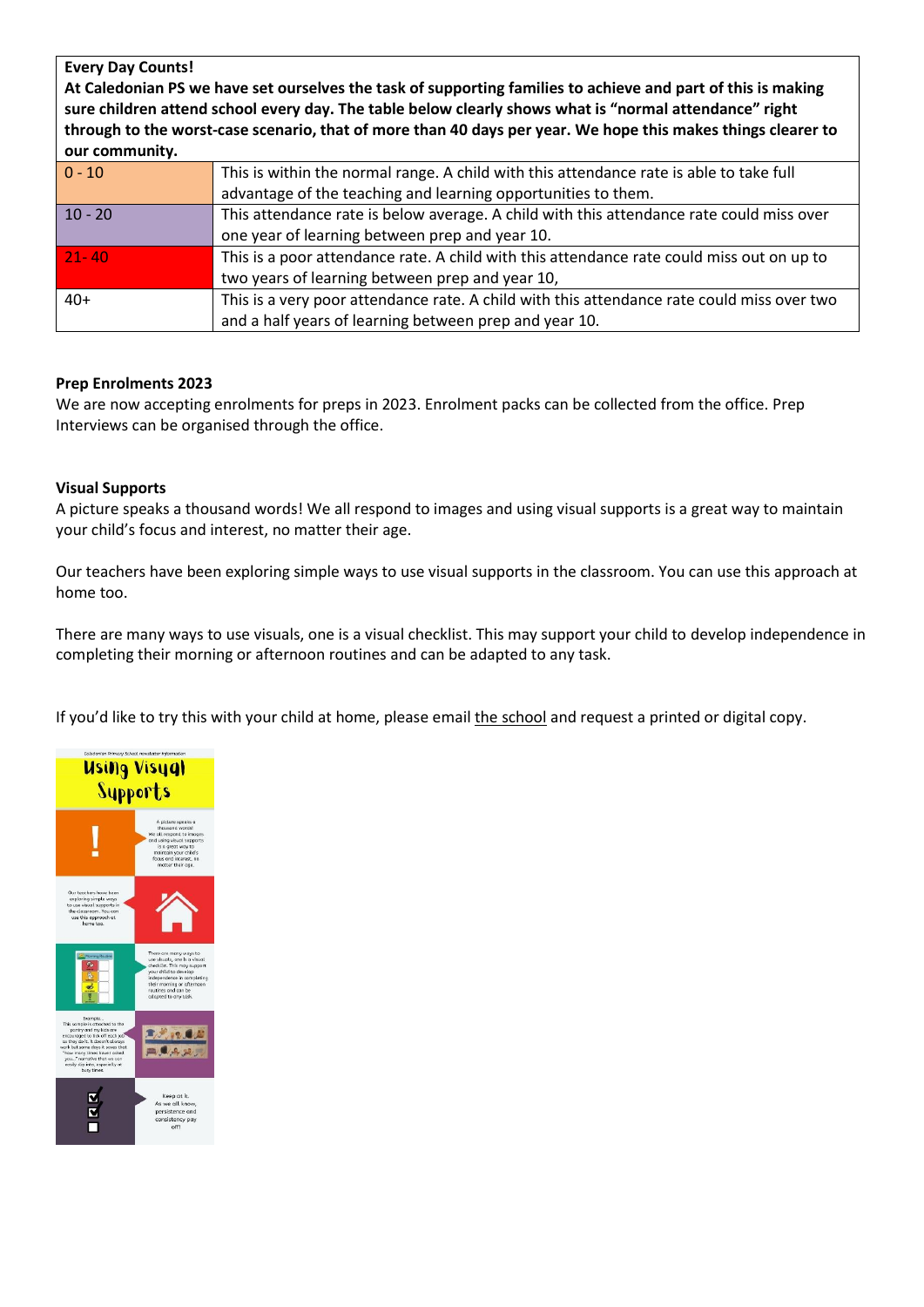| <b>Every Day Counts!</b><br>At Caledonian PS we have set ourselves the task of supporting families to achieve and part of this is making<br>sure children attend school every day. The table below clearly shows what is "normal attendance" right<br>through to the worst-case scenario, that of more than 40 days per year. We hope this makes things clearer to<br>our community. |                                                                                            |
|--------------------------------------------------------------------------------------------------------------------------------------------------------------------------------------------------------------------------------------------------------------------------------------------------------------------------------------------------------------------------------------|--------------------------------------------------------------------------------------------|
| $0 - 10$                                                                                                                                                                                                                                                                                                                                                                             | This is within the normal range. A child with this attendance rate is able to take full    |
|                                                                                                                                                                                                                                                                                                                                                                                      | advantage of the teaching and learning opportunities to them.                              |
| $10 - 20$                                                                                                                                                                                                                                                                                                                                                                            | This attendance rate is below average. A child with this attendance rate could miss over   |
|                                                                                                                                                                                                                                                                                                                                                                                      | one year of learning between prep and year 10.                                             |
| $21 - 40$                                                                                                                                                                                                                                                                                                                                                                            | This is a poor attendance rate. A child with this attendance rate could miss out on up to  |
|                                                                                                                                                                                                                                                                                                                                                                                      | two years of learning between prep and year 10,                                            |
| $40+$                                                                                                                                                                                                                                                                                                                                                                                | This is a very poor attendance rate. A child with this attendance rate could miss over two |
|                                                                                                                                                                                                                                                                                                                                                                                      | and a half years of learning between prep and year 10.                                     |

#### **Prep Enrolments 2023**

We are now accepting enrolments for preps in 2023. Enrolment packs can be collected from the office. Prep Interviews can be organised through the office.

#### **Visual Supports**

A picture speaks a thousand words! We all respond to images and using visual supports is a great way to maintain your child's focus and interest, no matter their age.

Our teachers have been exploring simple ways to use visual supports in the classroom. You can use this approach at home too.

There are many ways to use visuals, one is a visual checklist. This may support your child to develop independence in completing their morning or afternoon routines and can be adapted to any task.

If you'd like to try this with your child at home, please email [the](mailto:Natalie.karslake@education.vic.gov.au) school and request a printed or digital copy.

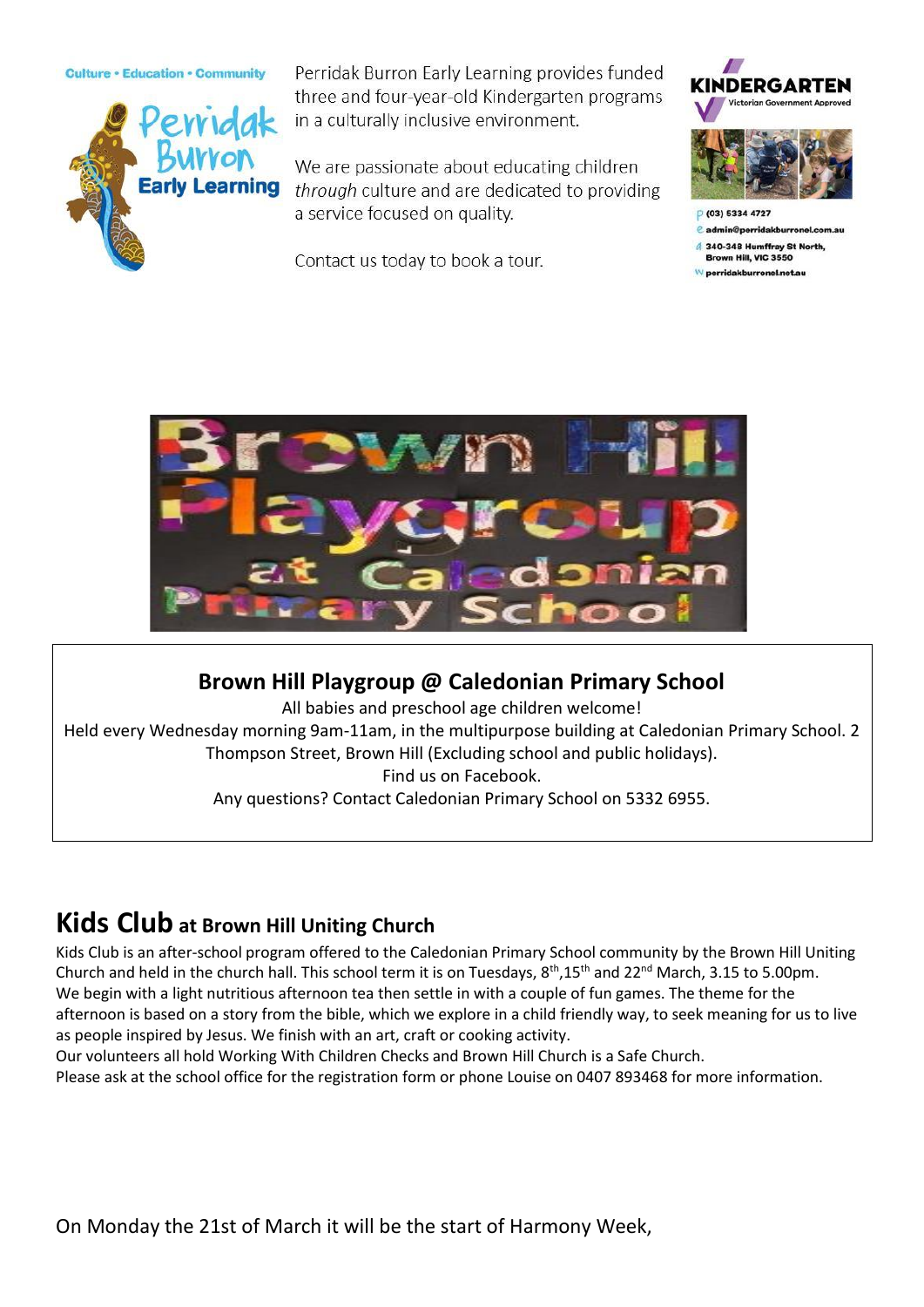**Culture · Education · Community** 



Perridak Burron Early Learning provides funded three and four-year-old Kindergarten programs in a culturally inclusive environment.

We are passionate about educating children through culture and are dedicated to providing a service focused on quality.

Contact us today to book a tour.



 $e$  admin@perridakburre

4 340-348 Humffray St North Brown Hill, VIC 3550

perridakburronel.net.au



#### **Brown Hill Playgroup @ Caledonian Primary School**

All babies and preschool age children welcome! Held every Wednesday morning 9am-11am, in the multipurpose building at Caledonian Primary School. 2 Thompson Street, Brown Hill (Excluding school and public holidays). Find us on Facebook. Any questions? Contact Caledonian Primary School on 5332 6955.

### **Kids Club at Brown Hill Uniting Church**

Kids Club is an after-school program offered to the Caledonian Primary School community by the Brown Hill Uniting Church and held in the church hall. This school term it is on Tuesdays, 8<sup>th</sup>,15<sup>th</sup> and 22<sup>nd</sup> March, 3.15 to 5.00pm. We begin with a light nutritious afternoon tea then settle in with a couple of fun games. The theme for the afternoon is based on a story from the bible, which we explore in a child friendly way, to seek meaning for us to live as people inspired by Jesus. We finish with an art, craft or cooking activity.

Our volunteers all hold Working With Children Checks and Brown Hill Church is a Safe Church. Please ask at the school office for the registration form or phone Louise on 0407 893468 for more information.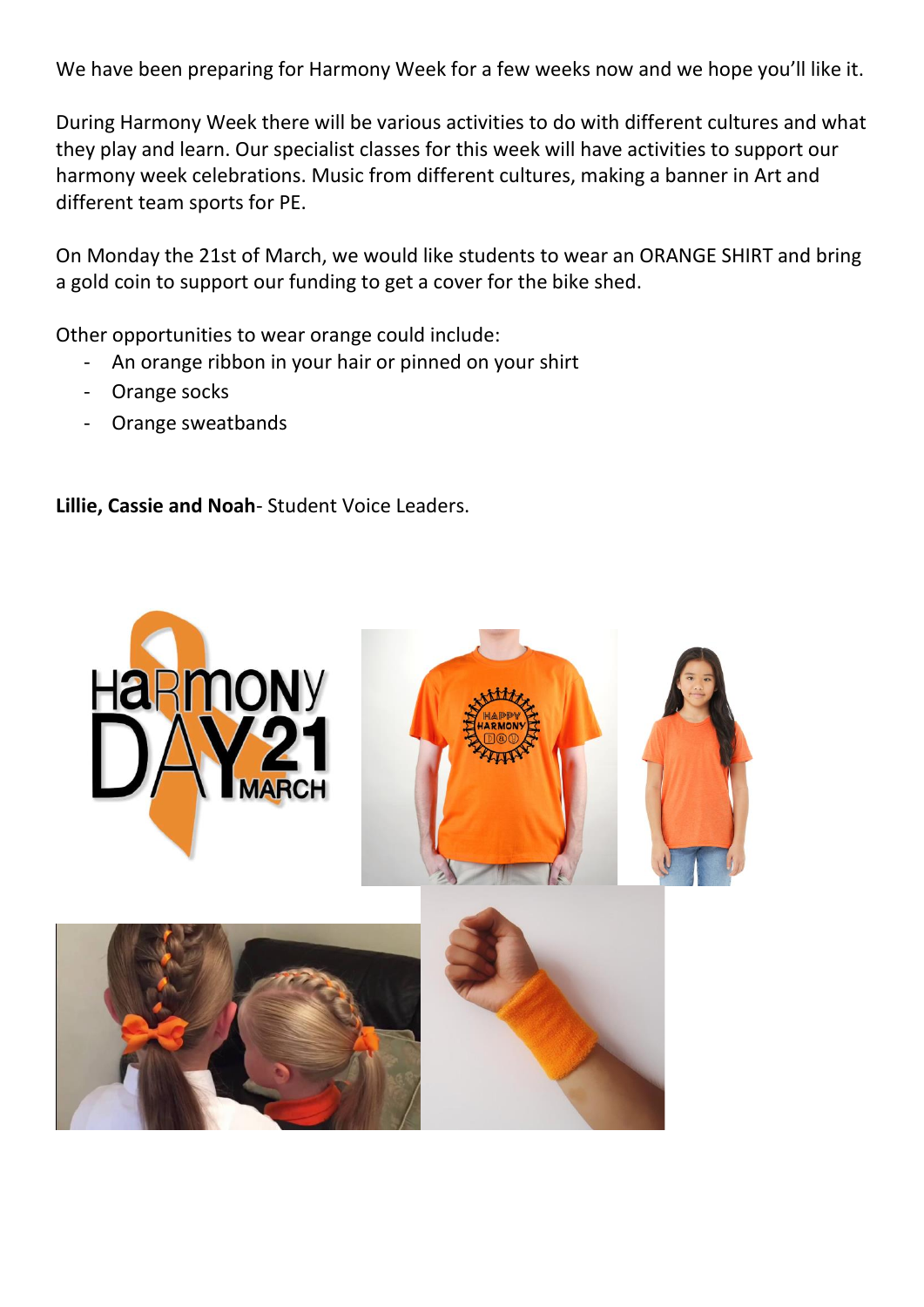We have been preparing for Harmony Week for a few weeks now and we hope you'll like it.

During Harmony Week there will be various activities to do with different cultures and what they play and learn. Our specialist classes for this week will have activities to support our harmony week celebrations. Music from different cultures, making a banner in Art and different team sports for PE.

On Monday the 21st of March, we would like students to wear an ORANGE SHIRT and bring a gold coin to support our funding to get a cover for the bike shed.

Other opportunities to wear orange could include:

- An orange ribbon in your hair or pinned on your shirt
- Orange socks
- Orange sweatbands

**Lillie, Cassie and Noah**- Student Voice Leaders.